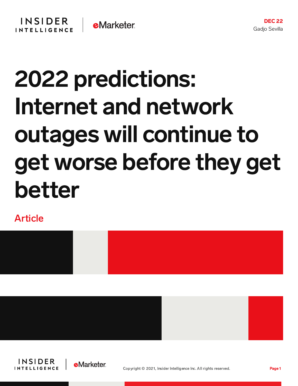# 2022 predictions: Internet and network outages will continue to get worse before they get better

Article







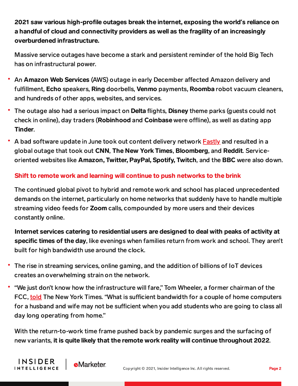2021 saw various high-profile outages break the internet, exposing the world's reliance on a handful of cloud and connectivity providers as well as the fragility of an increasingly overburdened infrastructure.

Massive service outages have become a stark and persistent reminder of the hold Big Tech has on infrastructural power.

- An Amazon Web Services (AWS) outage in early December affected Amazon delivery and fulfillment, Echo speakers, Ring doorbells, Venmo payments, Roomba robot vacuum cleaners, and hundreds of other apps, websites, and services.
- The outage also had a serious impact on **Delta** flights, **Disney** theme parks (guests could not check in online), day traders (Robinhood and Coinbase were offline), as well as dating app Tinder.
- A bad software update in June took out content delivery network **[Fastly](https://content-na2.emarketer.com/fastly-breaks-internet-with-bad-software-update-taking-down-thousands-of-ecommerce-media-government-websites-services)** and resulted in a global outage that took out CNN, The New York Times, Bloomberg, and Reddit. Serviceoriented websites like Amazon, Twitter, PayPal, Spotify, Twitch, and the BBC were also down.

## Shift to remote work and learning will continue to push networks to the brink

The continued global pivot to hybrid and remote work and school has placed unprecedented demands on the internet, particularly on home networks that suddenly have to handle multiple streaming video feeds for **Zoom** calls, compounded by more users and their devices constantly online.

Internet services catering to residential users are designed to deal with peaks of activity at specific times of the day, like evenings when families return from work and school. They aren't built for high bandwidth use around the clock.

- The rise in streaming services, online gaming, and the addition of billions of IoT devices creates an overwhelming strain on the network.
- "We just don't know how the infrastructure will fare," Tom Wheeler, a former chairman of the FCC, [told](https://www.nytimes.com/2020/03/16/technology/coronavirus-working-from-home-internet.html) The New York Times. "What is sufficient bandwidth for a couple of home computers for a husband and wife may not be sufficient when you add students who are going to class all day long operating from home."

With the return-to-work time frame pushed back by pandemic surges and the surfacing of new variants, it is quite likely that the remote work reality will continue throughout 2022.



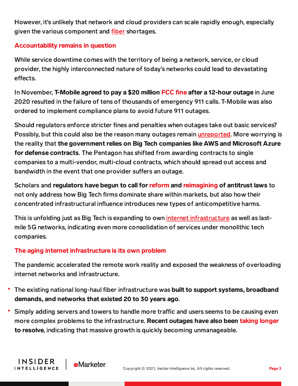However, it's unlikely that network and cloud providers can scale rapidly enough, especially given the various component and *[fiber](https://content-na2.emarketer.com/severe-fiber-shortage-delays-half-million-at-t-fiber-installations)* shortages.

### Accountability remains in question

While service downtime comes with the territory of being a network, service, or cloud provider, the highly interconnected nature of today's networks could lead to devastating effects.

In November, T-Mobile agreed to pay a \$20 million [FCC](https://abcnews.go.com/Business/mobile-pay-20-million-outage-leads-thousands-911/story?id=81369531) fine after a 12-hour outage in June 2020 resulted in the failure of tens of thousands of emergency 911 calls. T-Mobile was also ordered to implement compliance plans to avoid future 911 outages.

Should regulators enforce stricter fines and penalties when outages take out basic services? Possibly, but this could also be the reason many outages remain *unreported*. More worrying is the reality that the government relies on Big Tech companies like AWS and Microsoft Azure for defense contracts. The Pentagon has shifted from awarding contracts to single companies to a multi-vendor, multi-cloud contracts, which should spread out access and bandwidth in the event that one provider suffers an outage.

Scholars and regulators have begun to call for [reform](https://www.nytimes.com/interactive/2020/10/06/technology/house-antitrust-report-big-tech.html) and [reimagining](https://www.nytimes.com/2019/06/20/technology/tech-giants-antitrust-law.html) of antitrust laws to not only address how Big Tech firms dominate share within markets, but also how their concentrated infrastructural influence introduces new types of anticompetitive harms.

This is unfolding just as Big Tech is expanding to own internet [infrastructure](https://content-na2.emarketer.com/aws-private-5g-pivot-latest-big-tech-s-shift-network-cloud) as well as lastmile 5G networks, indicating even more consolidation of services under monolithic tech companies.

### The aging internet infrastructure is its own problem

**e**Marketer

**INSIDER** 

**INTELLIGENCE** 

The pandemic accelerated the remote work reality and exposed the weakness of overloading internet networks and infrastructure.

- The existing national long-haul fiber infrastructure was built to support systems, broadband demands, and networks that existed 20 to 30 years ago.
- Simply adding servers and towers to handle more traffic and users seems to be causing even more complex problems to the infrastructure. Recent outages have also been taking [longer](https://www.zdnet.com/article/facebooks-giant-outage-this-change-caused-all-the-problems/) to resolve, indicating that massive growth is quickly becoming unmanageable.